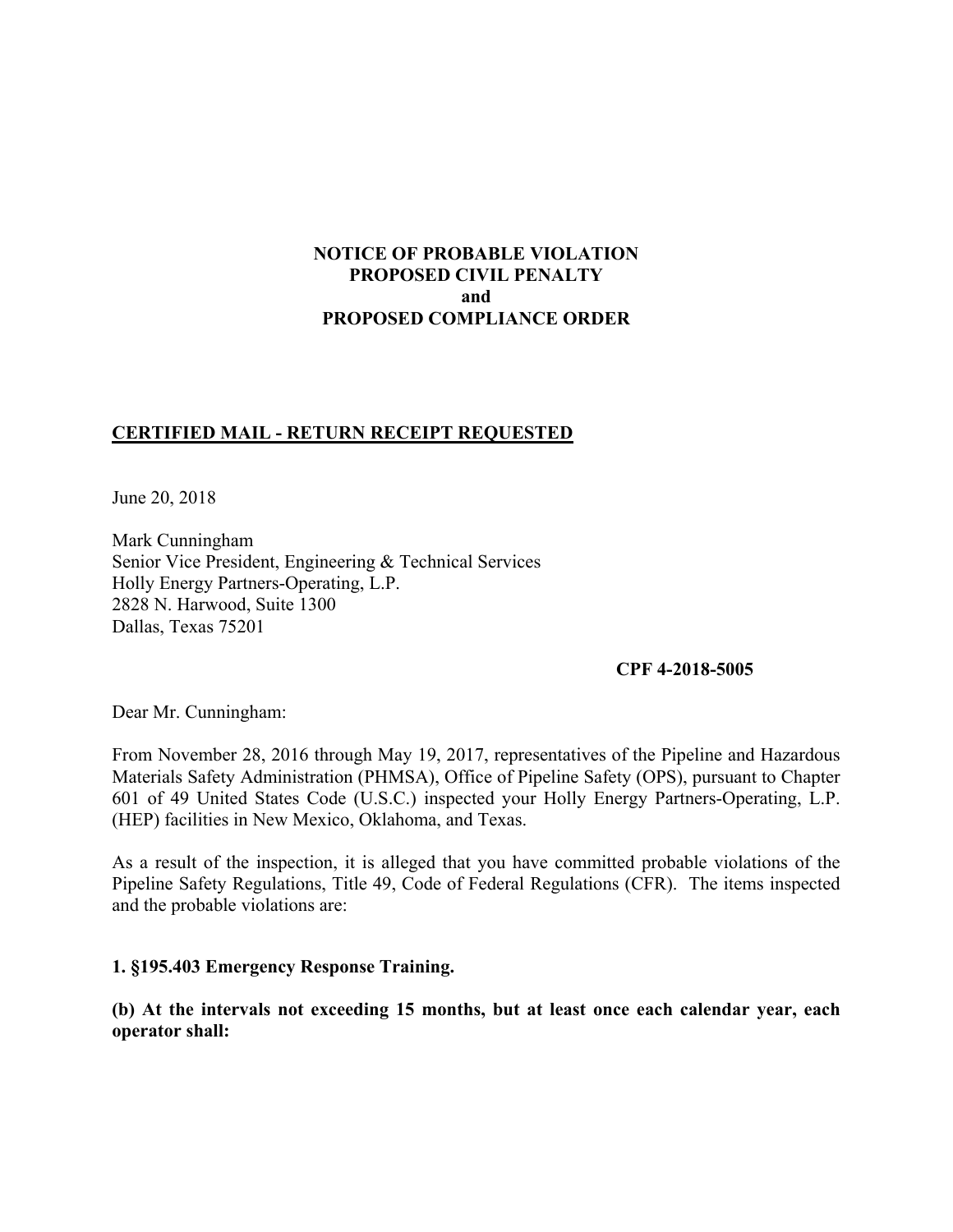### **NOTICE OF PROBABLE VIOLATION PROPOSED CIVIL PENALTY and PROPOSED COMPLIANCE ORDER**

# **CERTIFIED MAIL - RETURN RECEIPT REQUESTED**

June 20, 2018

Mark Cunningham Senior Vice President, Engineering & Technical Services Holly Energy Partners-Operating, L.P. 2828 N. Harwood, Suite 1300 Dallas, Texas 75201

#### **CPF 4-2018-5005**

Dear Mr. Cunningham:

 From November 28, 2016 through May 19, 2017, representatives of the Pipeline and Hazardous Materials Safety Administration (PHMSA), Office of Pipeline Safety (OPS), pursuant to Chapter 601 of 49 United States Code (U.S.C.) inspected your Holly Energy Partners-Operating, L.P. (HEP) facilities in New Mexico, Oklahoma, and Texas.

 Pipeline Safety Regulations, Title 49, Code of Federal Regulations (CFR). The items inspected As a result of the inspection, it is alleged that you have committed probable violations of the and the probable violations are:

**1. §195.403 Emergency Response Training.** 

**(b) At the intervals not exceeding 15 months, but at least once each calendar year, each operator shall:**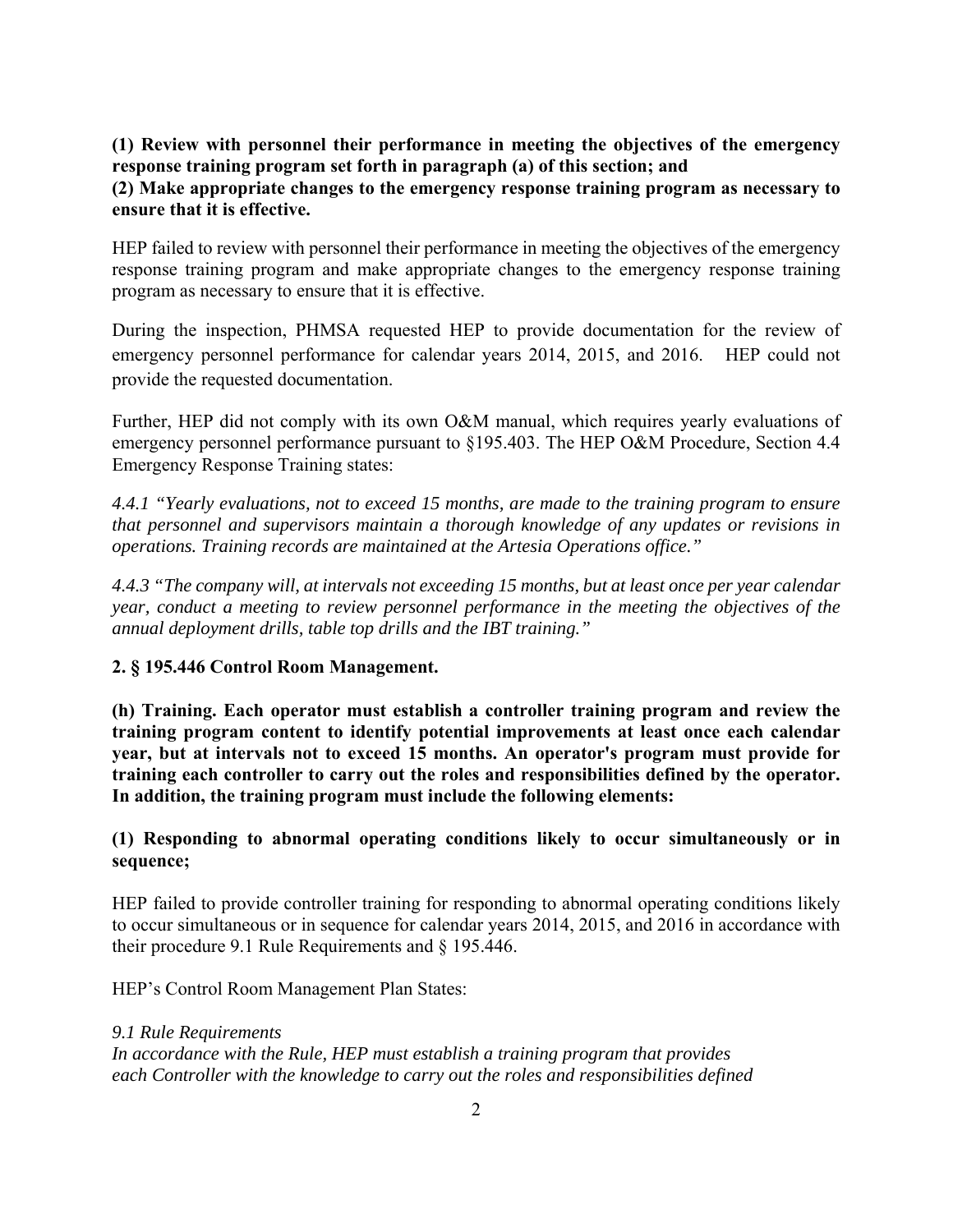### **(1) Review with personnel their performance in meeting the objectives of the emergency response training program set forth in paragraph (a) of this section; and**

### **(2) Make appropriate changes to the emergency response training program as necessary to ensure that it is effective.**

HEP failed to review with personnel their performance in meeting the objectives of the emergency response training program and make appropriate changes to the emergency response training program as necessary to ensure that it is effective.

 emergency personnel performance for calendar years 2014, 2015, and 2016. HEP could not During the inspection, PHMSA requested HEP to provide documentation for the review of provide the requested documentation.

Further, HEP did not comply with its own O&M manual, which requires yearly evaluations of emergency personnel performance pursuant to §195.403. The HEP O&M Procedure, Section 4.4 Emergency Response Training states:

*4.4.1 "Yearly evaluations, not to exceed 15 months, are made to the training program to ensure that personnel and supervisors maintain a thorough knowledge of any updates or revisions in operations. Training records are maintained at the Artesia Operations office."* 

*4.4.3 "The company will, at intervals not exceeding 15 months, but at least once per year calendar year, conduct a meeting to review personnel performance in the meeting the objectives of the annual deployment drills, table top drills and the IBT training."* 

# **2. § 195.446 Control Room Management.**

 **(h) Training. Each operator must establish a controller training program and review the training program content to identify potential improvements at least once each calendar year, but at intervals not to exceed 15 months. An operator's program must provide for training each controller to carry out the roles and responsibilities defined by the operator. In addition, the training program must include the following elements:** 

# **(1) Responding to abnormal operating conditions likely to occur simultaneously or in sequence;**

HEP failed to provide controller training for responding to abnormal operating conditions likely to occur simultaneous or in sequence for calendar years 2014, 2015, and 2016 in accordance with their procedure 9.1 Rule Requirements and § 195.446.

HEP's Control Room Management Plan States:

*9.1 Rule Requirements In accordance with the Rule, HEP must establish a training program that provides each Controller with the knowledge to carry out the roles and responsibilities defined*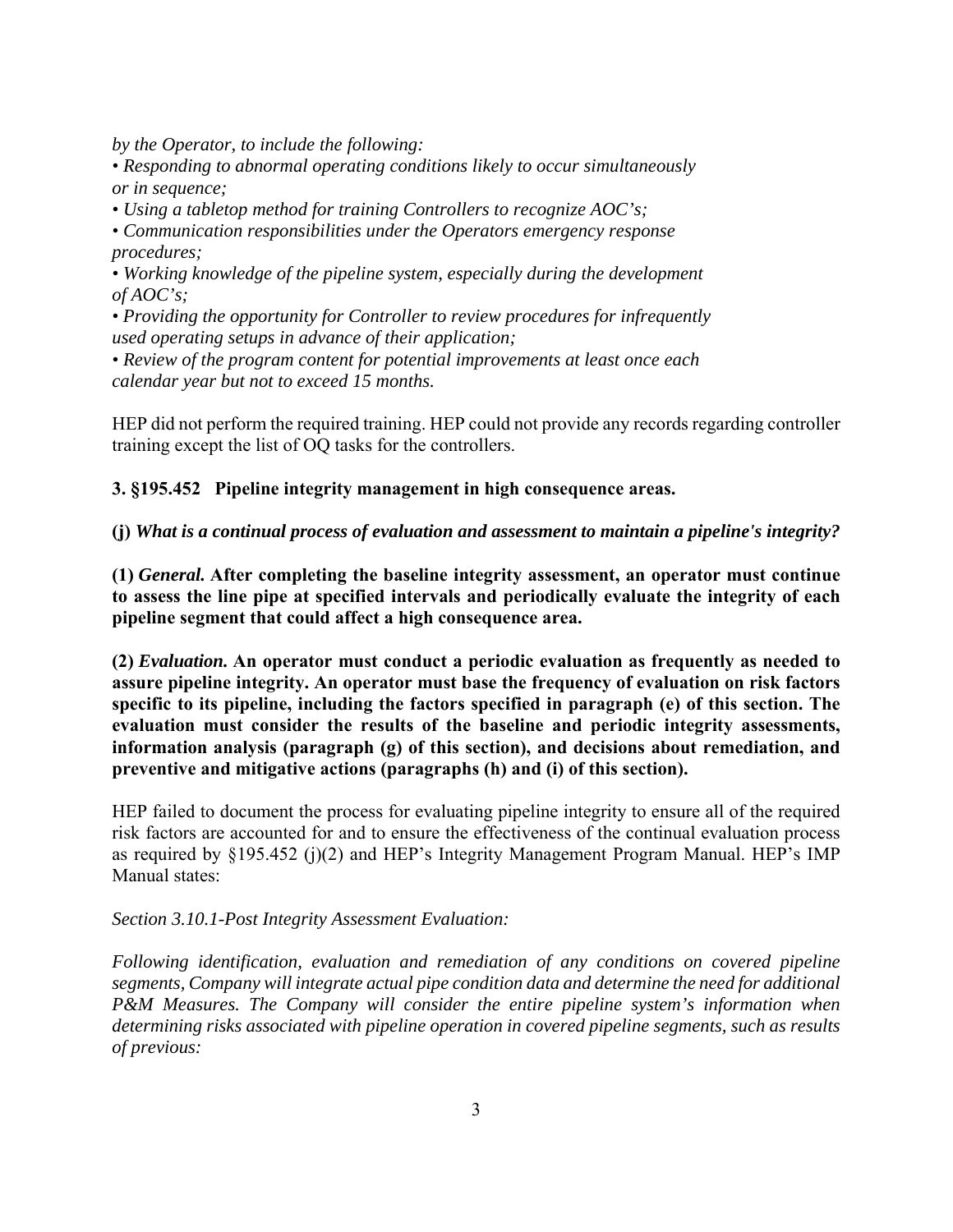*by the Operator, to include the following:* 

*• Responding to abnormal operating conditions likely to occur simultaneously or in sequence;* 

*• Using a tabletop method for training Controllers to recognize AOC's;* 

*• Communication responsibilities under the Operators emergency response procedures;* 

*• Working knowledge of the pipeline system, especially during the development of AOC's;* 

*• Providing the opportunity for Controller to review procedures for infrequently used operating setups in advance of their application;* 

*• Review of the program content for potential improvements at least once each calendar year but not to exceed 15 months.* 

HEP did not perform the required training. HEP could not provide any records regarding controller training except the list of OQ tasks for the controllers.

**3. §195.452 Pipeline integrity management in high consequence areas.**

 **(j)** *What is a continual process of evaluation and assessment to maintain a pipeline's integrity?* 

 **to assess the line pipe at specified intervals and periodically evaluate the integrity of each (1)** *General.* **After completing the baseline integrity assessment, an operator must continue pipeline segment that could affect a high consequence area.** 

**(2)** *Evaluation.* **An operator must conduct a periodic evaluation as frequently as needed to assure pipeline integrity. An operator must base the frequency of evaluation on risk factors specific to its pipeline, including the factors specified in paragraph (e) of this section. The evaluation must consider the results of the baseline and periodic integrity assessments, information analysis (paragraph (g) of this section), and decisions about remediation, and preventive and mitigative actions (paragraphs (h) and (i) of this section).** 

HEP failed to document the process for evaluating pipeline integrity to ensure all of the required risk factors are accounted for and to ensure the effectiveness of the continual evaluation process as required by §195.452 (j)(2) and HEP's Integrity Management Program Manual. HEP's IMP Manual states:

### *Section 3.10.1-Post Integrity Assessment Evaluation:*

*Following identification, evaluation and remediation of any conditions on covered pipeline segments, Company will integrate actual pipe condition data and determine the need for additional P&M Measures. The Company will consider the entire pipeline system's information when determining risks associated with pipeline operation in covered pipeline segments, such as results of previous:*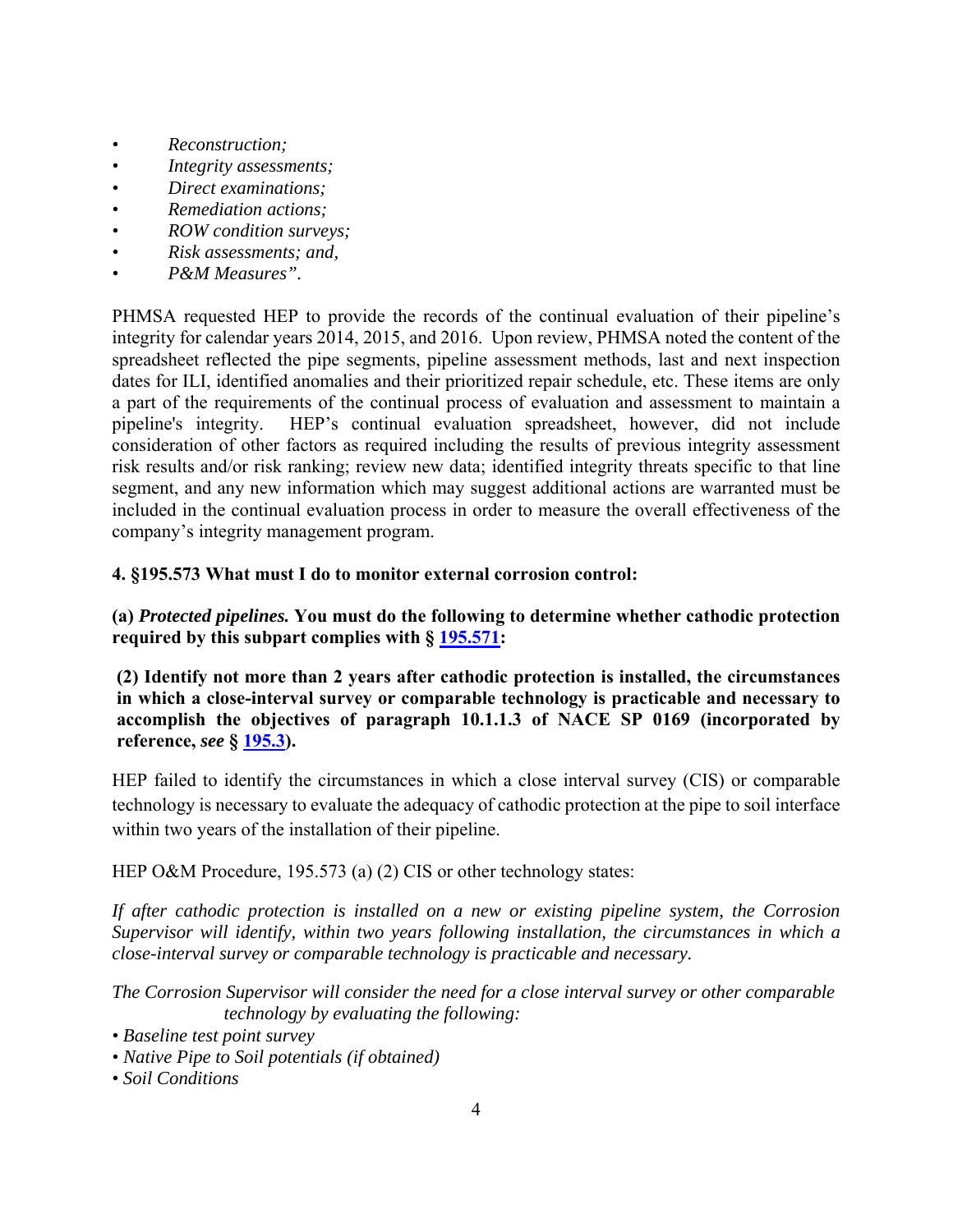- *Reconstruction;*
- *Integrity assessments;*
- *Direct examinations;*
- *Remediation actions;*
- *ROW condition surveys;*
- *Risk assessments; and,*
- *P&M Measures".*

pipeline's integrity. PHMSA requested HEP to provide the records of the continual evaluation of their pipeline's integrity for calendar years 2014, 2015, and 2016. Upon review, PHMSA noted the content of the spreadsheet reflected the pipe segments, pipeline assessment methods, last and next inspection dates for ILI, identified anomalies and their prioritized repair schedule, etc. These items are only a part of the requirements of the continual process of evaluation and assessment to maintain a HEP's continual evaluation spreadsheet, however, did not include consideration of other factors as required including the results of previous integrity assessment risk results and/or risk ranking; review new data; identified integrity threats specific to that line segment, and any new information which may suggest additional actions are warranted must be included in the continual evaluation process in order to measure the overall effectiveness of the company's integrity management program.

### **4. §195.573 What must I do to monitor external corrosion control:**

**(a)** *Protected pipelines.* **You must do the following to determine whether cathodic protection required by this subpart complies with § 195.571:** 

 **(2) Identify not more than 2 years after cathodic protection is installed, the circumstances in which a close-interval survey or comparable technology is practicable and necessary to accomplish the objectives of paragraph 10.1.1.3 of NACE SP 0169 (incorporated by reference,** *see* **§ 195.3).**

 within two years of the installation of their pipeline. HEP failed to identify the circumstances in which a close interval survey (CIS) or comparable technology is necessary to evaluate the adequacy of cathodic protection at the pipe to soil interface

HEP O&M Procedure, 195.573 (a) (2) CIS or other technology states:

*If after cathodic protection is installed on a new or existing pipeline system, the Corrosion Supervisor will identify, within two years following installation, the circumstances in which a close-interval survey or comparable technology is practicable and necessary.* 

*The Corrosion Supervisor will consider the need for a close interval survey or other comparable technology by evaluating the following:* 

- *Baseline test point survey*
- *Native Pipe to Soil potentials (if obtained) Soil Conditions*
-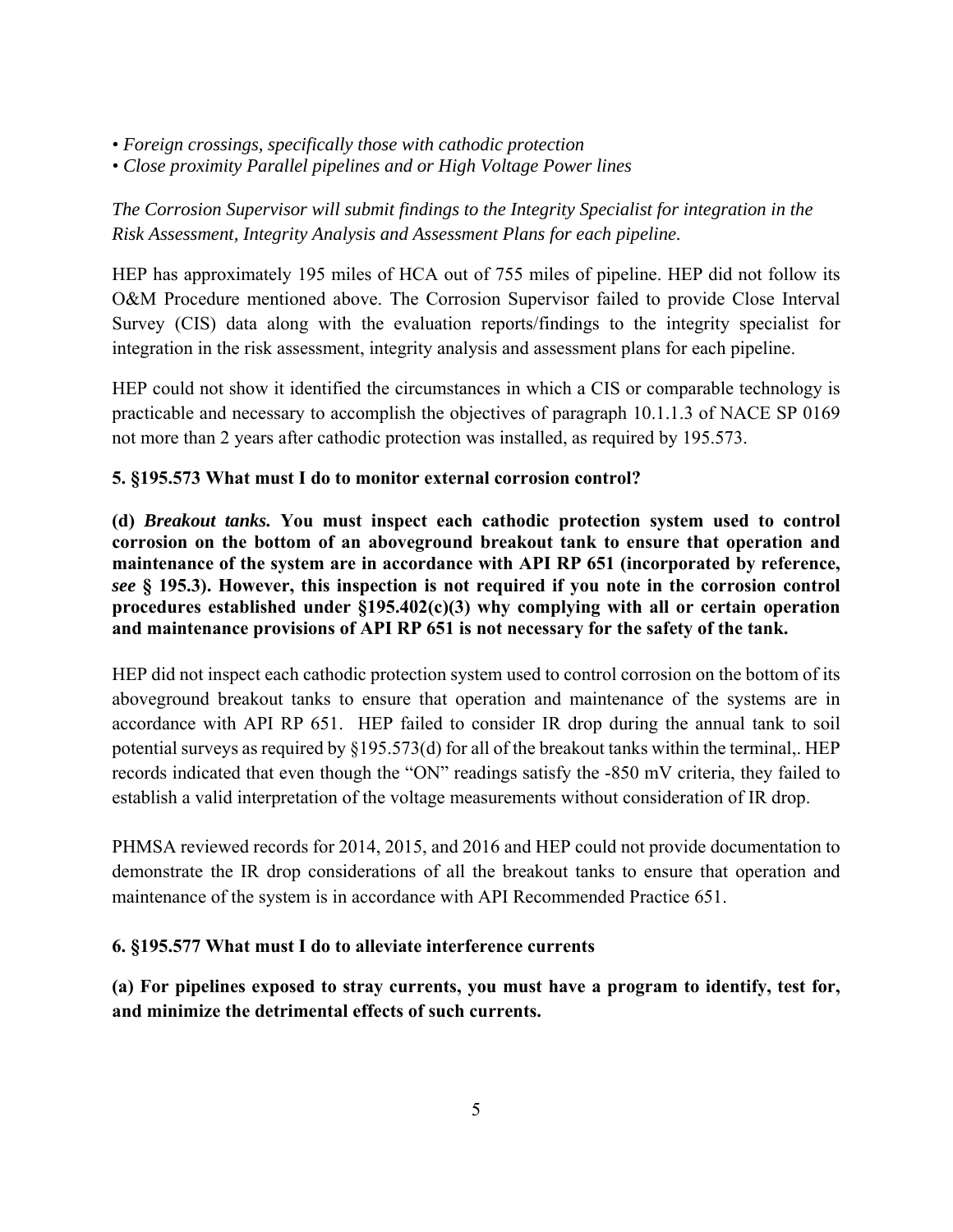- *Foreign crossings, specifically those with cathodic protection*
- *Close proximity Parallel pipelines and or High Voltage Power lines*

# *The Corrosion Supervisor will submit findings to the Integrity Specialist for integration in the Risk Assessment, Integrity Analysis and Assessment Plans for each pipeline.*

 Survey (CIS) data along with the evaluation reports/findings to the integrity specialist for HEP has approximately 195 miles of HCA out of 755 miles of pipeline. HEP did not follow its O&M Procedure mentioned above. The Corrosion Supervisor failed to provide Close Interval integration in the risk assessment, integrity analysis and assessment plans for each pipeline.

HEP could not show it identified the circumstances in which a CIS or comparable technology is practicable and necessary to accomplish the objectives of paragraph 10.1.1.3 of NACE SP 0169 not more than 2 years after cathodic protection was installed, as required by 195.573.

# **5. §195.573 What must I do to monitor external corrosion control?**

 *see* **§ 195.3). However, this inspection is not required if you note in the corrosion control (d)** *Breakout tanks.* **You must inspect each cathodic protection system used to control corrosion on the bottom of an aboveground breakout tank to ensure that operation and maintenance of the system are in accordance with API RP 651 (incorporated by reference, procedures established under §195.402(c)(3) why complying with all or certain operation and maintenance provisions of API RP 651 is not necessary for the safety of the tank.** 

HEP did not inspect each cathodic protection system used to control corrosion on the bottom of its aboveground breakout tanks to ensure that operation and maintenance of the systems are in accordance with API RP 651. HEP failed to consider IR drop during the annual tank to soil potential surveys as required by §195.573(d) for all of the breakout tanks within the terminal,. HEP records indicated that even though the "ON" readings satisfy the -850 mV criteria, they failed to establish a valid interpretation of the voltage measurements without consideration of IR drop.

 demonstrate the IR drop considerations of all the breakout tanks to ensure that operation and PHMSA reviewed records for 2014, 2015, and 2016 and HEP could not provide documentation to maintenance of the system is in accordance with API Recommended Practice 651.

# **6. §195.577 What must I do to alleviate interference currents**

**(a) For pipelines exposed to stray currents, you must have a program to identify, test for, and minimize the detrimental effects of such currents.**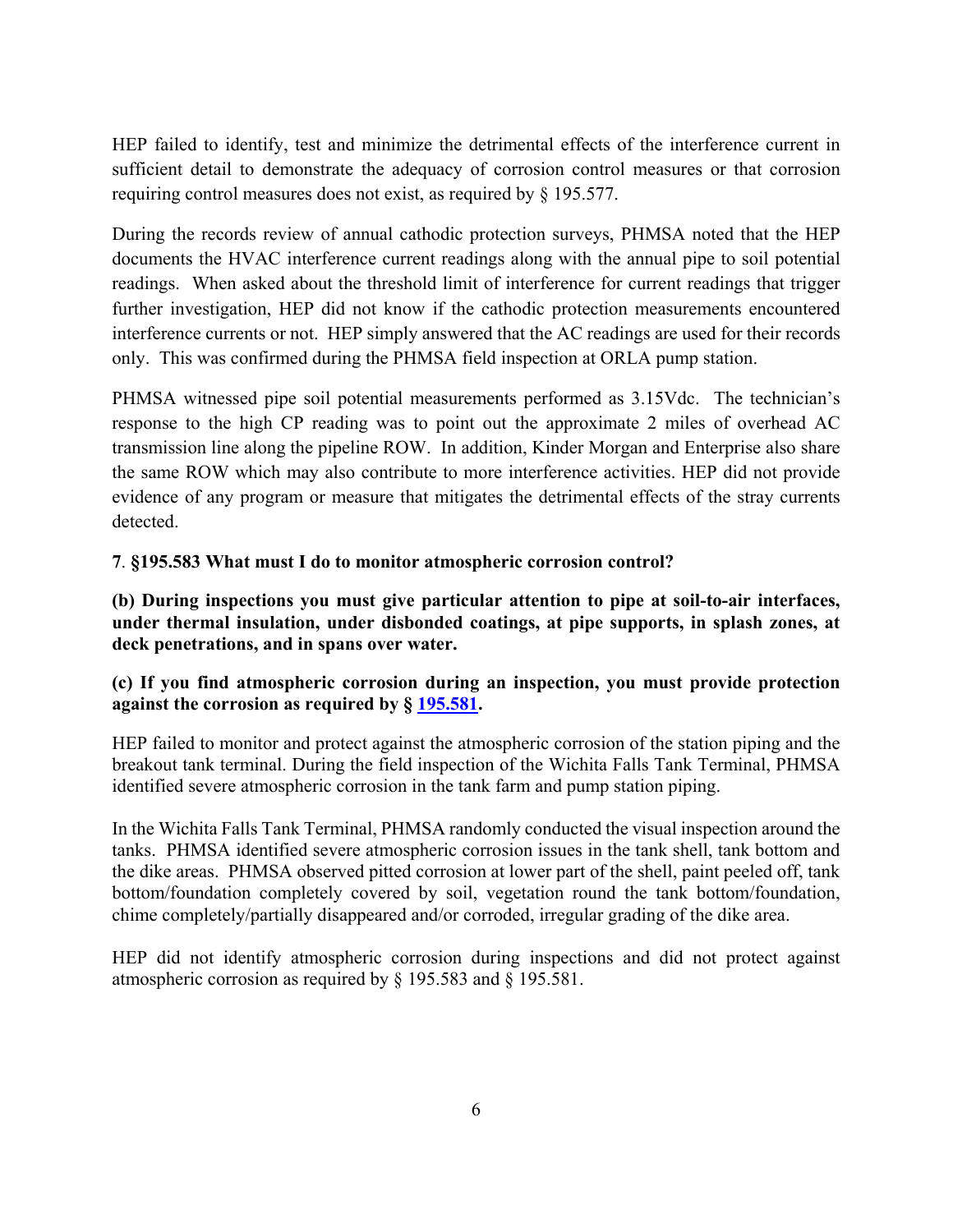HEP failed to identify, test and minimize the detrimental effects of the interference current in sufficient detail to demonstrate the adequacy of corrosion control measures or that corrosion requiring control measures does not exist, as required by § 195.577.

 readings. When asked about the threshold limit of interference for current readings that trigger During the records review of annual cathodic protection surveys, PHMSA noted that the HEP documents the HVAC interference current readings along with the annual pipe to soil potential further investigation, HEP did not know if the cathodic protection measurements encountered interference currents or not. HEP simply answered that the AC readings are used for their records only. This was confirmed during the PHMSA field inspection at ORLA pump station.

 transmission line along the pipeline ROW. In addition, Kinder Morgan and Enterprise also share the same ROW which may also contribute to more interference activities. HEP did not provide PHMSA witnessed pipe soil potential measurements performed as 3.15Vdc. The technician's response to the high CP reading was to point out the approximate 2 miles of overhead AC evidence of any program or measure that mitigates the detrimental effects of the stray currents detected.

### **7**. **§195.583 What must I do to monitor atmospheric corrosion control?**

**(b) During inspections you must give particular attention to pipe at soil-to-air interfaces, under thermal insulation, under disbonded coatings, at pipe supports, in splash zones, at deck penetrations, and in spans over water.** 

# **(c) If you find atmospheric corrosion during an inspection, you must provide protection against the corrosion as required by § 195.581.**

HEP failed to monitor and protect against the atmospheric corrosion of the station piping and the breakout tank terminal. During the field inspection of the Wichita Falls Tank Terminal, PHMSA identified severe atmospheric corrosion in the tank farm and pump station piping.

 the dike areas. PHMSA observed pitted corrosion at lower part of the shell, paint peeled off, tank In the Wichita Falls Tank Terminal, PHMSA randomly conducted the visual inspection around the tanks. PHMSA identified severe atmospheric corrosion issues in the tank shell, tank bottom and bottom/foundation completely covered by soil, vegetation round the tank bottom/foundation, chime completely/partially disappeared and/or corroded, irregular grading of the dike area.

HEP did not identify atmospheric corrosion during inspections and did not protect against atmospheric corrosion as required by § 195.583 and § 195.581.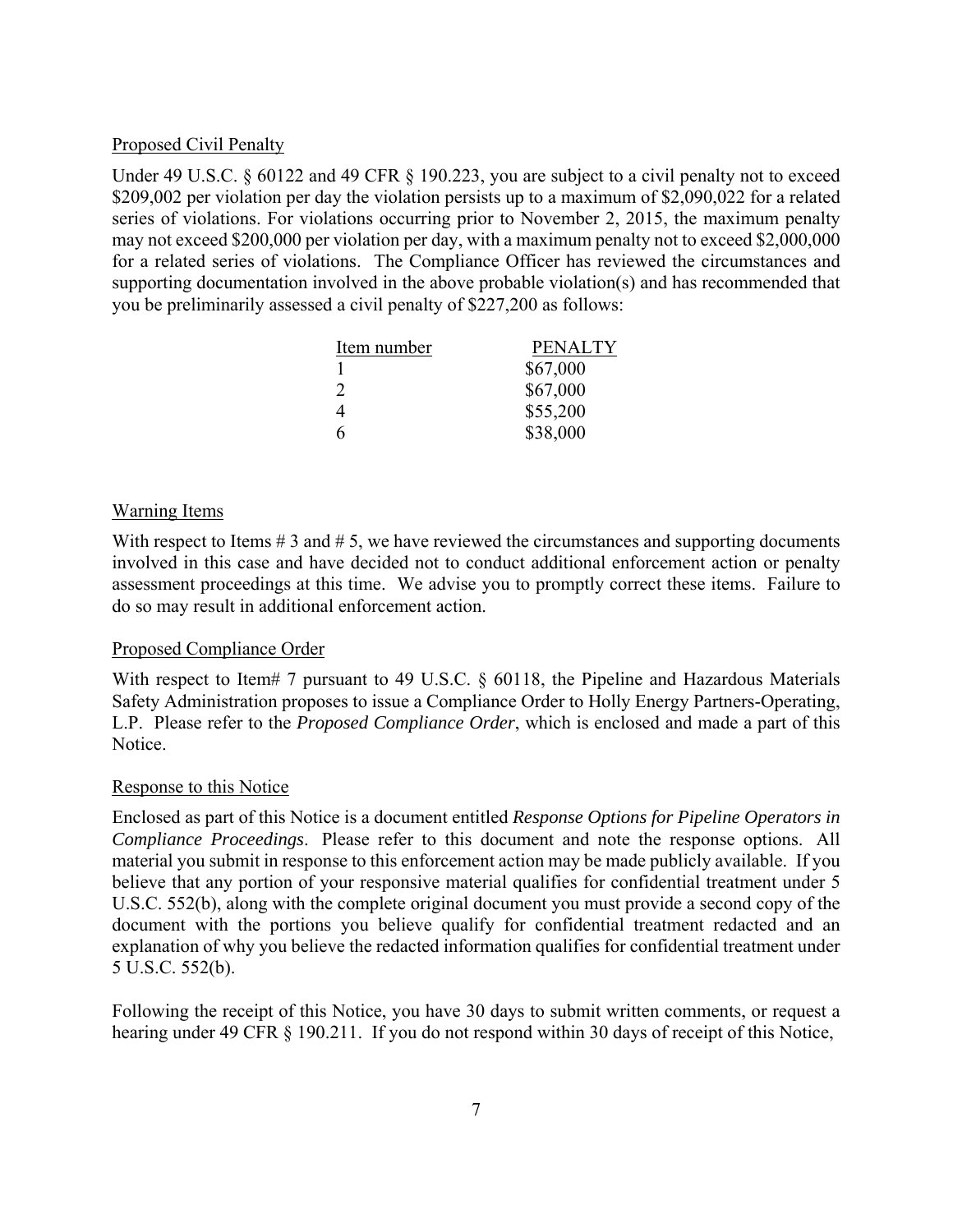#### Proposed Civil Penalty

 may not exceed \$200,000 per violation per day, with a maximum penalty not to exceed \$2,000,000 Under 49 U.S.C. § 60122 and 49 CFR § 190.223, you are subject to a civil penalty not to exceed \$209,002 per violation per day the violation persists up to a maximum of \$2,090,022 for a related series of violations. For violations occurring prior to November 2, 2015, the maximum penalty for a related series of violations. The Compliance Officer has reviewed the circumstances and supporting documentation involved in the above probable violation(s) and has recommended that you be preliminarily assessed a civil penalty of \$227,200 as follows:

| Item number   | <b>PENALTY</b> |
|---------------|----------------|
|               | \$67,000       |
| $\mathcal{D}$ | \$67,000       |
| 4             | \$55,200       |
| h             | \$38,000       |

### Warning Items

With respect to Items  $# 3$  and  $# 5$ , we have reviewed the circumstances and supporting documents involved in this case and have decided not to conduct additional enforcement action or penalty assessment proceedings at this time. We advise you to promptly correct these items. Failure to do so may result in additional enforcement action.

### Proposed Compliance Order

With respect to Item# 7 pursuant to 49 U.S.C. § 60118, the Pipeline and Hazardous Materials Safety Administration proposes to issue a Compliance Order to Holly Energy Partners-Operating, L.P. Please refer to the *Proposed Compliance Order*, which is enclosed and made a part of this Notice.

#### Response to this Notice

 *Compliance Proceedings*. Please refer to this document and note the response options. All Enclosed as part of this Notice is a document entitled *Response Options for Pipeline Operators in*  material you submit in response to this enforcement action may be made publicly available. If you believe that any portion of your responsive material qualifies for confidential treatment under 5 U.S.C. 552(b), along with the complete original document you must provide a second copy of the document with the portions you believe qualify for confidential treatment redacted and an explanation of why you believe the redacted information qualifies for confidential treatment under 5 U.S.C. 552(b).

Following the receipt of this Notice, you have 30 days to submit written comments, or request a hearing under 49 CFR § 190.211. If you do not respond within 30 days of receipt of this Notice,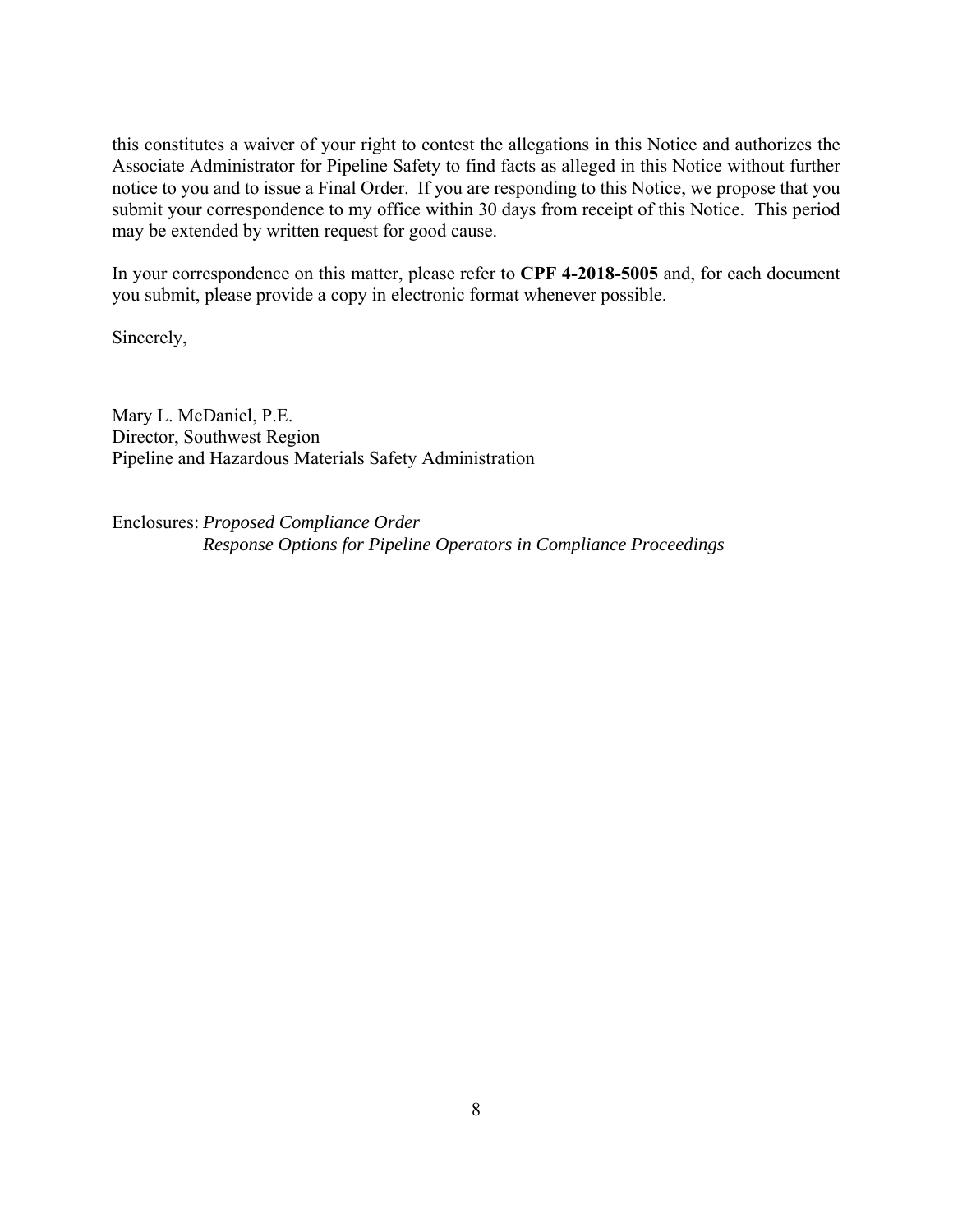submit your correspondence to my office within 30 days from receipt of this Notice. This period this constitutes a waiver of your right to contest the allegations in this Notice and authorizes the Associate Administrator for Pipeline Safety to find facts as alleged in this Notice without further notice to you and to issue a Final Order. If you are responding to this Notice, we propose that you may be extended by written request for good cause.

In your correspondence on this matter, please refer to **CPF 4-2018-5005** and, for each document you submit, please provide a copy in electronic format whenever possible.

Sincerely,

Mary L. McDaniel, P.E. Director, Southwest Region Pipeline and Hazardous Materials Safety Administration

Enclosures: *Proposed Compliance Order Response Options for Pipeline Operators in Compliance Proceedings*